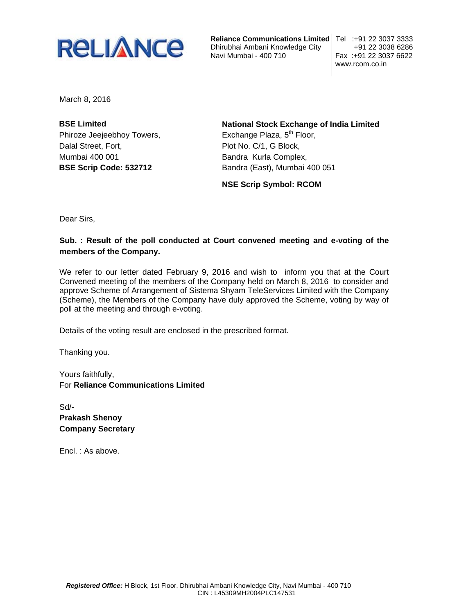

**Reliance Communications Limited** Tel :+91 22 3037 3333 Dhirubhai Ambani Knowledge City +91 22 3038 6286 Navi Mumbai - 400 710

www.rcom.co.in

March 8, 2016

**BSE Limited** Phiroze Jeejeebhoy Towers, Dalal Street, Fort, Mumbai 400 001 **BSE Scrip Code: 532712** 

**National Stock Exchange of India Limited** Exchange Plaza, 5<sup>th</sup> Floor, Plot No. C/1, G Block, Bandra Kurla Complex, Bandra (East), Mumbai 400 051

**NSE Scrip Symbol: RCOM**

Dear Sirs,

## **Sub. : Result of the poll conducted at Court convened meeting and e-voting of the members of the Company.**

We refer to our letter dated February 9, 2016 and wish to inform you that at the Court Convened meeting of the members of the Company held on March 8, 2016 to consider and approve Scheme of Arrangement of Sistema Shyam TeleServices Limited with the Company (Scheme), the Members of the Company have duly approved the Scheme, voting by way of poll at the meeting and through e-voting.

Details of the voting result are enclosed in the prescribed format.

Thanking you.

Yours faithfully, For **Reliance Communications Limited** 

Sd/- **Prakash Shenoy Company Secretary** 

Encl. : As above.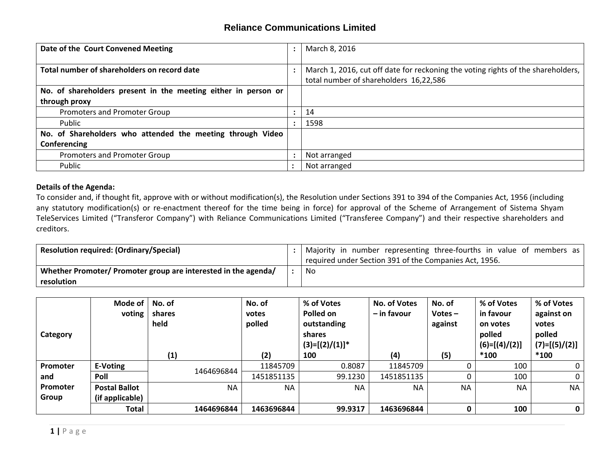## **Reliance Communications Limited**

| Date of the Court Convened Meeting                             | March 8, 2016                                                                    |  |  |
|----------------------------------------------------------------|----------------------------------------------------------------------------------|--|--|
|                                                                |                                                                                  |  |  |
| Total number of shareholders on record date                    | March 1, 2016, cut off date for reckoning the voting rights of the shareholders, |  |  |
|                                                                | total number of shareholders 16,22,586                                           |  |  |
| No. of shareholders present in the meeting either in person or |                                                                                  |  |  |
| through proxy                                                  |                                                                                  |  |  |
| Promoters and Promoter Group                                   | 14                                                                               |  |  |
| Public                                                         | 1598                                                                             |  |  |
| No. of Shareholders who attended the meeting through Video     |                                                                                  |  |  |
| Conferencing                                                   |                                                                                  |  |  |
| Promoters and Promoter Group                                   | Not arranged                                                                     |  |  |
| Public                                                         | Not arranged                                                                     |  |  |

## **Details of the Agenda:**

To consider and, if thought fit, approve with or without modification(s), the Resolution under Sections 391 to 394 of the Companies Act, 1956 (including any statutory modification(s) or re-enactment thereof for the time being in force) for approval of the Scheme of Arrangement of Sistema Shyam TeleServices Limited ("Transferor Company") with Reliance Communications Limited ("Transferee Company") and their respective shareholders and creditors.

| <b>Resolution required: (Ordinary/Special)</b>                 | Majority in number representing three-fourths in value of members as |
|----------------------------------------------------------------|----------------------------------------------------------------------|
|                                                                | required under Section 391 of the Companies Act, 1956.               |
| Whether Promoter/ Promoter group are interested in the agenda/ | No                                                                   |
| resolution                                                     |                                                                      |

| Category | Mode of<br>voting    | No. of<br>shares<br>held | No. of<br>votes<br>polled | % of Votes<br>Polled on<br>outstanding<br>shares | <b>No. of Votes</b><br>- in favour | No. of<br>Votes $-$<br>against | % of Votes<br>in favour<br>on votes<br>polled | % of Votes<br>against on<br>votes<br>polled |
|----------|----------------------|--------------------------|---------------------------|--------------------------------------------------|------------------------------------|--------------------------------|-----------------------------------------------|---------------------------------------------|
|          |                      | (1)                      | (2)                       | $(3)=[(2)/(1)]^*$<br>100                         | (4)                                | (5)                            | $(6)=[(4)/(2)]$<br>$*100$                     | $(7)=[(5)/(2)]$<br>$*100$                   |
| Promoter | E-Voting             |                          | 11845709                  | 0.8087                                           | 11845709                           |                                | 100                                           |                                             |
| and      | Poll                 | 1464696844               | 1451851135                | 99.1230                                          | 1451851135                         |                                | 100                                           | 0                                           |
| Promoter | <b>Postal Ballot</b> | <b>NA</b>                | <b>NA</b>                 | <b>NA</b>                                        | <b>NA</b>                          | <b>NA</b>                      | <b>NA</b>                                     | <b>NA</b>                                   |
| Group    | (if applicable)      |                          |                           |                                                  |                                    |                                |                                               |                                             |
|          | <b>Total</b>         | 1464696844               | 1463696844                | 99.9317                                          | 1463696844                         |                                | 100                                           | $\mathbf 0$                                 |